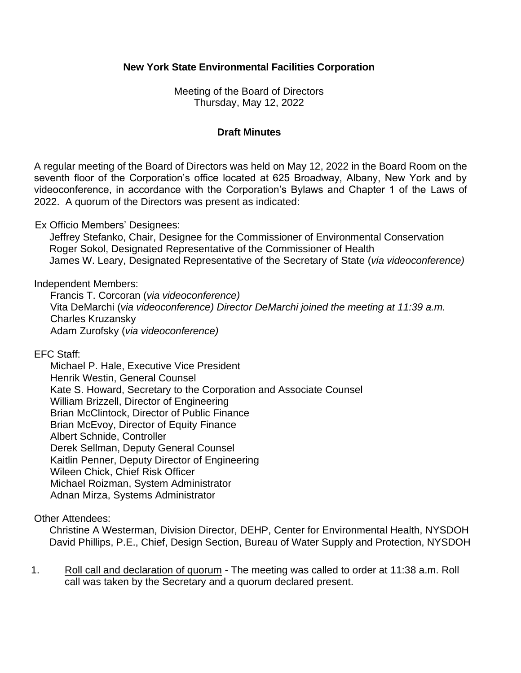# **New York State Environmental Facilities Corporation**

 Meeting of the Board of Directors Thursday, May 12, 2022

#### **Draft Minutes**

 A regular meeting of the Board of Directors was held on May 12, 2022 in the Board Room on the seventh floor of the Corporation's office located at 625 Broadway, Albany, New York and by videoconference, in accordance with the Corporation's Bylaws and Chapter 1 of the Laws of 2022. A quorum of the Directors was present as indicated:

Ex Officio Members' Designees:

Jeffrey Stefanko, Chair, Designee for the Commissioner of Environmental Conservation Roger Sokol, Designated Representative of the Commissioner of Health James W. Leary, Designated Representative of the Secretary of State (*via videoconference)* 

Independent Members:

 Vita DeMarchi (*via videoconference) Director DeMarchi joined the meeting at 11:39 a.m.*  Francis T. Corcoran (*via videoconference)*  Charles Kruzansky Adam Zurofsky (*via videoconference)* 

EFC Staff:

 Kate S. Howard, Secretary to the Corporation and Associate Counsel Michael P. Hale, Executive Vice President Henrik Westin, General Counsel William Brizzell, Director of Engineering Brian McClintock, Director of Public Finance Brian McEvoy, Director of Equity Finance Albert Schnide, Controller Derek Sellman, Deputy General Counsel Kaitlin Penner, Deputy Director of Engineering Wileen Chick, Chief Risk Officer Michael Roizman, System Administrator Adnan Mirza, Systems Administrator

Other Attendees:

 David Phillips, P.E., Chief, Design Section, Bureau of Water Supply and Protection, NYSDOH Christine A Westerman, Division Director, DEHP, Center for Environmental Health, NYSDOH

 call was taken by the Secretary and a quorum declared present. 1. Roll call and declaration of quorum - The meeting was called to order at 11:38 a.m. Roll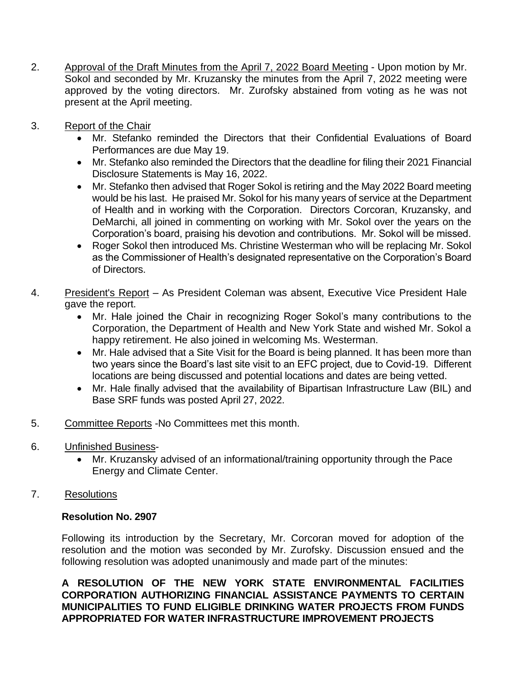- Approval of the Draft Minutes from the April 7, 2022 Board Meeting Upon motion by Mr. Sokol and seconded by Mr. Kruzansky the minutes from the April 7, 2022 meeting were approved by the voting directors. Mr. Zurofsky abstained from voting as he was not 2. present at the April meeting.
- 3. Report of the Chair
	- • Mr. Stefanko reminded the Directors that their Confidential Evaluations of Board Performances are due May 19.
	- • Mr. Stefanko also reminded the Directors that the deadline for filing their 2021 Financial Disclosure Statements is May 16, 2022.
	- • Mr. Stefanko then advised that Roger Sokol is retiring and the May 2022 Board meeting would be his last. He praised Mr. Sokol for his many years of service at the Department of Health and in working with the Corporation. Directors Corcoran, Kruzansky, and DeMarchi, all joined in commenting on working with Mr. Sokol over the years on the Corporation's board, praising his devotion and contributions. Mr. Sokol will be missed.
	- • Roger Sokol then introduced Ms. Christine Westerman who will be replacing Mr. Sokol as the Commissioner of Health's designated representative on the Corporation's Board of Directors.
- President's Report As President Coleman was absent, Executive Vice President Hale 4. gave the report.
	- • Mr. Hale joined the Chair in recognizing Roger Sokol's many contributions to the Corporation, the Department of Health and New York State and wished Mr. Sokol a happy retirement. He also joined in welcoming Ms. Westerman.
	- • Mr. Hale advised that a Site Visit for the Board is being planned. It has been more than two years since the Board's last site visit to an EFC project, due to Covid-19. Different locations are being discussed and potential locations and dates are being vetted.
	- • Mr. Hale finally advised that the availability of Bipartisan Infrastructure Law (BIL) and Base SRF funds was posted April 27, 2022.
- Committee Reports -No Committees met this month. 5.
- 6. Unfinished Business-
	- Mr. Kruzansky advised of an informational/training opportunity through the Pace Energy and Climate Center.
- 7. Resolutions

## **Resolution No. 2907**

 Following its introduction by the Secretary, Mr. Corcoran moved for adoption of the resolution and the motion was seconded by Mr. Zurofsky. Discussion ensued and the following resolution was adopted unanimously and made part of the minutes:

 **A RESOLUTION OF THE NEW YORK STATE ENVIRONMENTAL FACILITIES MUNICIPALITIES TO FUND ELIGIBLE DRINKING WATER PROJECTS FROM FUNDS APPROPRIATED FOR WATER INFRASTRUCTURE IMPROVEMENT PROJECTS CORPORATION AUTHORIZING FINANCIAL ASSISTANCE PAYMENTS TO CERTAIN**